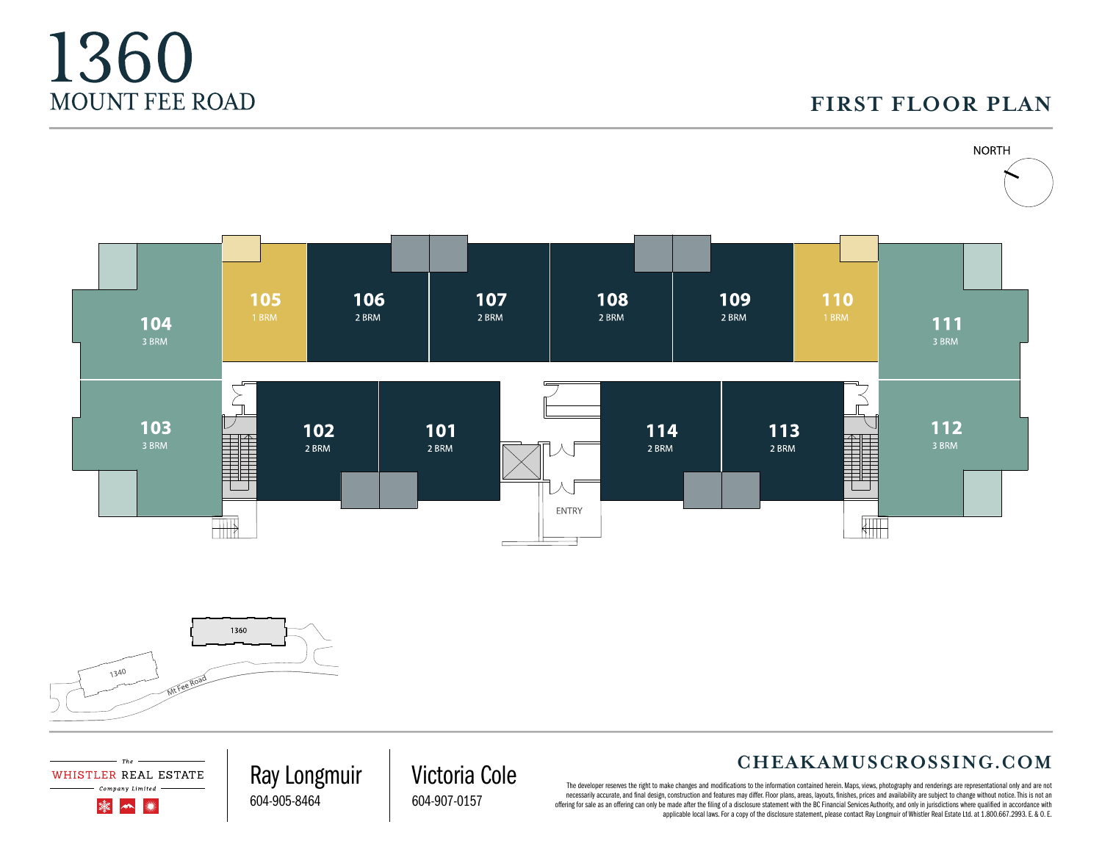## **FIRST FLOOR PLAN**





WHISTLER REAL ESTATE Company Limited

> 灤  $\rightarrow$ ▓

1360

MOUNT FEE ROAD

#### **CHEAKAMUSCROSSING.COM**

The developer reserves the right to make changes and modifications to the information contained herein. Maps, views, photography and renderings are representational only and are not necessarily accurate, and final design, construction and features may differ. Floor plans, areas, layouts, finishes, prices and availability are subject to change without notice. This is not an offering for sale as an offering can only be made after the filing of a disclosure statement with the BC Financial Services Authority, and only in jurisdictions where qualified in accordance with applicable local laws. For a copy of the disclosure statement, please contact Ray Longmuir of Whistler Real Estate Ltd. at 1.800.667.2993. E. & O. E.

Victoria Cole 604-907-0157

Ray Longmuir 604-905-8464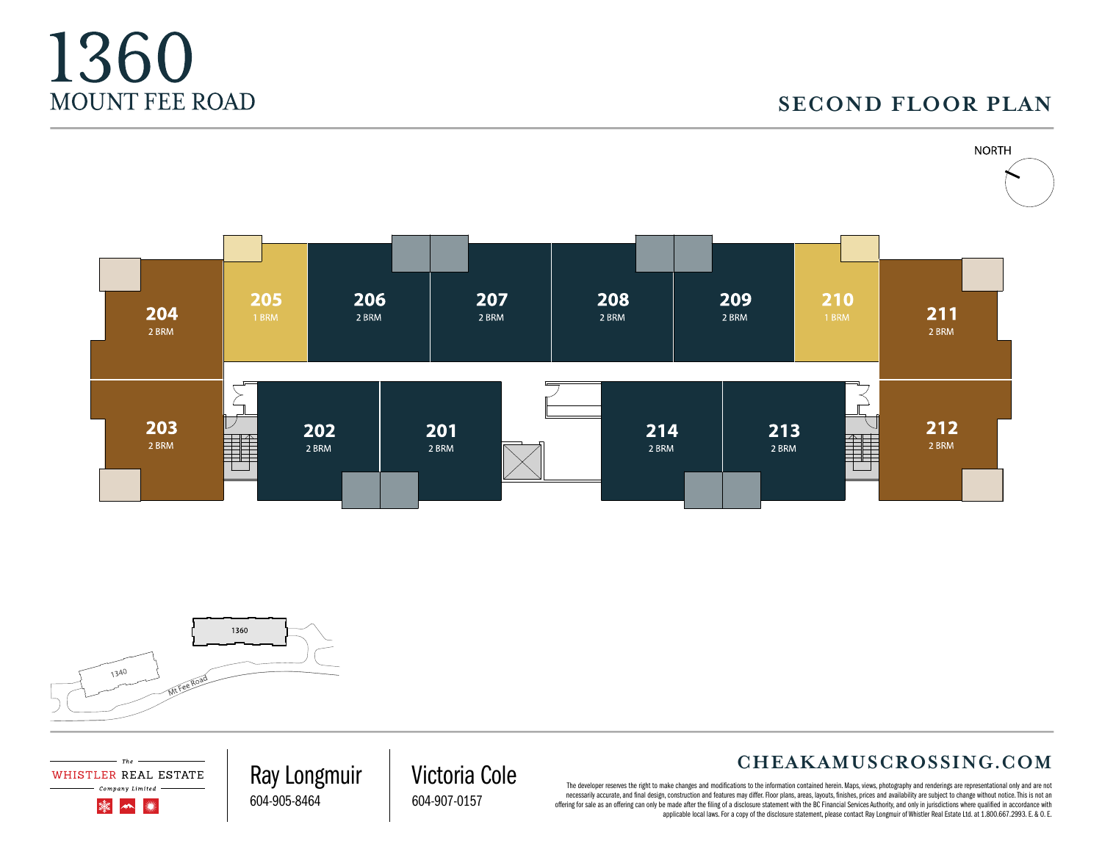## **SECOND FLOOR PLAN**





Th: WHISTLER REAL ESTATE Company Limited

> 灤  $\rightarrow$ ▓

1360

MOUNT FEE ROAD

#### **CHEAKAMUSCROSSING.COM**

The developer reserves the right to make changes and modifications to the information contained herein. Maps, views, photography and renderings are representational only and are not necessarily accurate, and final design, construction and features may differ. Floor plans, areas, layouts, finishes, prices and availability are subject to change without notice. This is not an offering for sale as an offering can only be made after the filing of a disclosure statement with the BC Financial Services Authority, and only in jurisdictions where qualified in accordance with applicable local laws. For a copy of the disclosure statement, please contact Ray Longmuir of Whistler Real Estate Ltd. at 1.800.667.2993. E. & O. E.

Ray Longmuir 604-905-8464

Victoria Cole

604-907-0157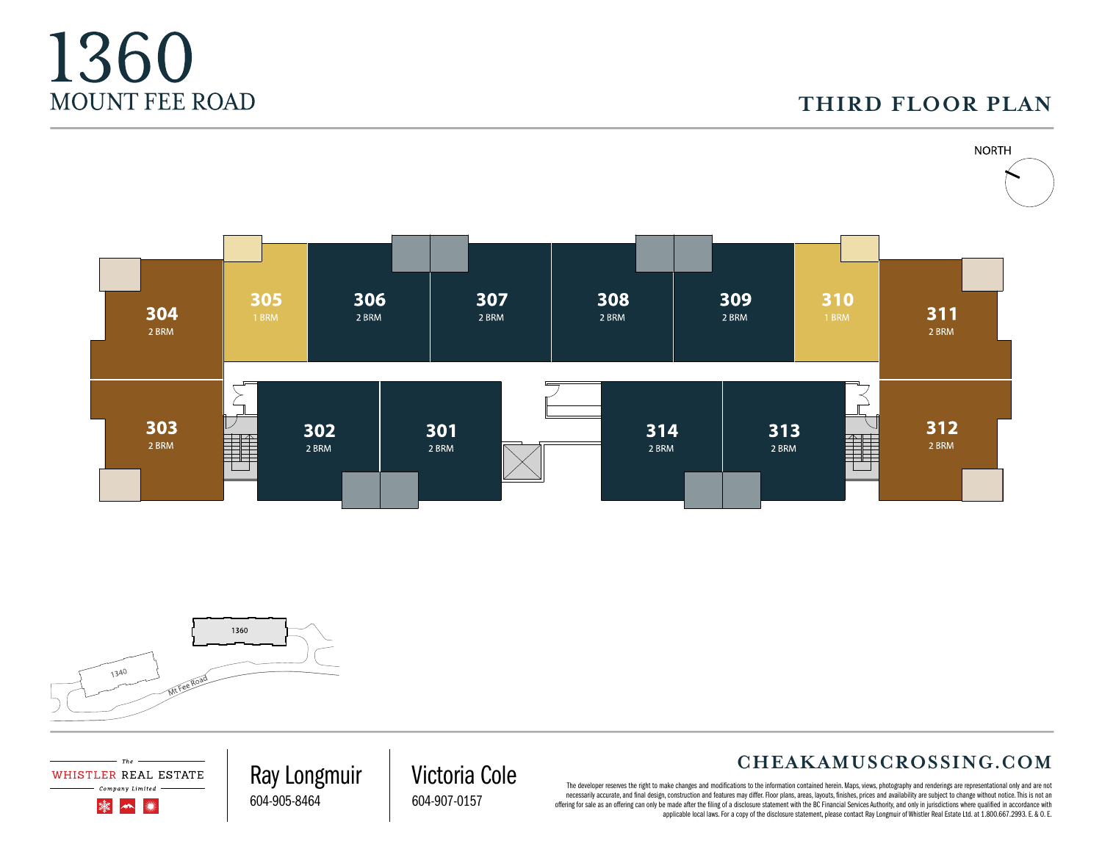### **THIRD FLOOR PLAN**





 $The$ WHISTLER REAL ESTATE Company Limited

 $\blacktriangleleft$ 

灤

1360

MOUNT FEE ROAD

#### **CHEAKAMUSCROSSING.COM**

The developer reserves the right to make changes and modifications to the information contained herein. Maps, views, photography and renderings are representational only and are not necessarily accurate, and final design, construction and features may differ. Floor plans, areas, layouts, finishes, prices and availability are subject to change without notice. This is not an offering for sale as an offering can only be made after the filing of a disclosure statement with the BC Financial Services Authority, and only in jurisdictions where qualified in accordance with applicable local laws. For a copy of the disclosure statement, please contact Ray Longmuir of Whistler Real Estate Ltd. at 1.800.667.2993. E. & O. E.

Ray Longmuir Victoria Cole 604-907-0157

604-905-8464